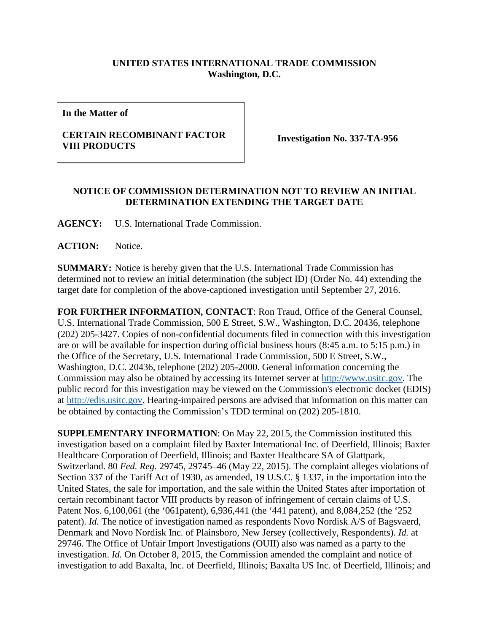## **UNITED STATES INTERNATIONAL TRADE COMMISSION Washington, D.C.**

**In the Matter of**

## **CERTAIN RECOMBINANT FACTOR VIII PRODUCTS Investigation No. 337-TA-956**

## **NOTICE OF COMMISSION DETERMINATION NOT TO REVIEW AN INITIAL DETERMINATION EXTENDING THE TARGET DATE**

**AGENCY:** U.S. International Trade Commission.

ACTION: Notice.

**SUMMARY:** Notice is hereby given that the U.S. International Trade Commission has determined not to review an initial determination (the subject ID) (Order No. 44) extending the target date for completion of the above-captioned investigation until September 27, 2016.

**FOR FURTHER INFORMATION, CONTACT**: Ron Traud, Office of the General Counsel, U.S. International Trade Commission, 500 E Street, S.W., Washington, D.C. 20436, telephone (202) 205-3427. Copies of non-confidential documents filed in connection with this investigation are or will be available for inspection during official business hours (8:45 a.m. to 5:15 p.m.) in the Office of the Secretary, U.S. International Trade Commission, 500 E Street, S.W., Washington, D.C. 20436, telephone (202) 205-2000. General information concerning the Commission may also be obtained by accessing its Internet server at [http://www.usitc.gov.](http://www.usitc.gov/) The public record for this investigation may be viewed on the Commission's electronic docket (EDIS) at [http://edis.usitc.gov.](http://edis.usitc.gov/) Hearing-impaired persons are advised that information on this matter can be obtained by contacting the Commission's TDD terminal on (202) 205-1810.

**SUPPLEMENTARY INFORMATION**: On May 22, 2015, the Commission instituted this investigation based on a complaint filed by Baxter International Inc. of Deerfield, Illinois; Baxter Healthcare Corporation of Deerfield, Illinois; and Baxter Healthcare SA of Glattpark, Switzerland. 80 *Fed. Reg.* 29745, 29745–46 (May 22, 2015). The complaint alleges violations of Section 337 of the Tariff Act of 1930, as amended, 19 U.S.C. § 1337, in the importation into the United States, the sale for importation, and the sale within the United States after importation of certain recombinant factor VIII products by reason of infringement of certain claims of U.S. Patent Nos. 6,100,061 (the '061patent), 6,936,441 (the '441 patent), and 8,084,252 (the '252 patent). *Id.* The notice of investigation named as respondents Novo Nordisk A/S of Bagsvaerd, Denmark and Novo Nordisk Inc. of Plainsboro, New Jersey (collectively, Respondents). *Id.* at 29746. The Office of Unfair Import Investigations (OUII) also was named as a party to the investigation. *Id.* On October 8, 2015, the Commission amended the complaint and notice of investigation to add Baxalta, Inc. of Deerfield, Illinois; Baxalta US Inc. of Deerfield, Illinois; and